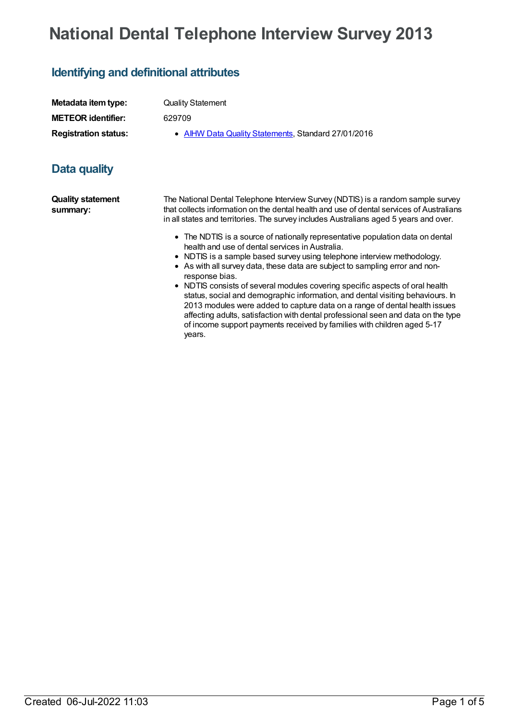# **National Dental Telephone Interview Survey 2013**

## **Identifying and definitional attributes**

| Metadata item type:         | <b>Quality Statement</b>                            |
|-----------------------------|-----------------------------------------------------|
| <b>METEOR identifier:</b>   | 629709                                              |
| <b>Registration status:</b> | • AIHW Data Quality Statements, Standard 27/01/2016 |

### **Data quality**

**Quality statement summary:**

The National Dental Telephone Interview Survey (NDTIS) is a random sample survey that collects information on the dental health and use of dental services of Australians in all states and territories. The survey includes Australians aged 5 years and over.

- The NDTIS is a source of nationally representative population data on dental health and use of dental services in Australia.
- NDTIS is a sample based survey using telephone interview methodology.
- As with all survey data, these data are subject to sampling error and nonresponse bias.
- NDTIS consists of several modules covering specific aspects of oral health status, social and demographic information, and dental visiting behaviours. In 2013 modules were added to capture data on a range of dental health issues affecting adults, satisfaction with dental professional seen and data on the type of income support payments received by families with children aged 5-17 years.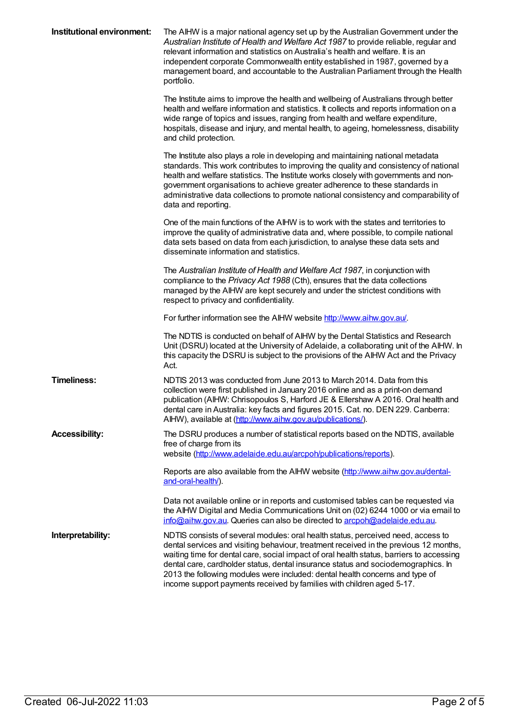| Institutional environment: | The AIHW is a major national agency set up by the Australian Government under the<br>Australian Institute of Health and Welfare Act 1987 to provide reliable, regular and<br>relevant information and statistics on Australia's health and welfare. It is an<br>independent corporate Commonwealth entity established in 1987, governed by a<br>management board, and accountable to the Australian Parliament through the Health<br>portfolio.                                                                     |
|----------------------------|---------------------------------------------------------------------------------------------------------------------------------------------------------------------------------------------------------------------------------------------------------------------------------------------------------------------------------------------------------------------------------------------------------------------------------------------------------------------------------------------------------------------|
|                            | The Institute aims to improve the health and wellbeing of Australians through better<br>health and welfare information and statistics. It collects and reports information on a<br>wide range of topics and issues, ranging from health and welfare expenditure,<br>hospitals, disease and injury, and mental health, to ageing, homelessness, disability<br>and child protection.                                                                                                                                  |
|                            | The Institute also plays a role in developing and maintaining national metadata<br>standards. This work contributes to improving the quality and consistency of national<br>health and welfare statistics. The Institute works closely with governments and non-<br>government organisations to achieve greater adherence to these standards in<br>administrative data collections to promote national consistency and comparability of<br>data and reporting.                                                      |
|                            | One of the main functions of the AIHW is to work with the states and territories to<br>improve the quality of administrative data and, where possible, to compile national<br>data sets based on data from each jurisdiction, to analyse these data sets and<br>disseminate information and statistics.                                                                                                                                                                                                             |
|                            | The Australian Institute of Health and Welfare Act 1987, in conjunction with<br>compliance to the Privacy Act 1988 (Cth), ensures that the data collections<br>managed by the AIHW are kept securely and under the strictest conditions with<br>respect to privacy and confidentiality.                                                                                                                                                                                                                             |
|                            | For further information see the AIHW website http://www.aihw.gov.au/.                                                                                                                                                                                                                                                                                                                                                                                                                                               |
|                            | The NDTIS is conducted on behalf of AIHW by the Dental Statistics and Research<br>Unit (DSRU) located at the University of Adelaide, a collaborating unit of the AIHW. In<br>this capacity the DSRU is subject to the provisions of the AIHW Act and the Privacy<br>Act.                                                                                                                                                                                                                                            |
| <b>Timeliness:</b>         | NDTIS 2013 was conducted from June 2013 to March 2014. Data from this<br>collection were first published in January 2016 online and as a print-on demand<br>publication (AIHW: Chrisopoulos S, Harford JE & Ellershaw A 2016. Oral health and<br>dental care in Australia: key facts and figures 2015. Cat. no. DEN 229. Canberra:<br>AlHW), available at (http://www.aihw.gov.au/publications/).                                                                                                                   |
| <b>Accessibility:</b>      | The DSRU produces a number of statistical reports based on the NDTIS, available<br>free of charge from its<br>website (http://www.adelaide.edu.au/arcpoh/publications/reports).                                                                                                                                                                                                                                                                                                                                     |
|                            | Reports are also available from the AIHW website (http://www.aihw.gov.au/dental-<br>and-oral-health/).                                                                                                                                                                                                                                                                                                                                                                                                              |
|                            | Data not available online or in reports and customised tables can be requested via<br>the AIHW Digital and Media Communications Unit on (02) 6244 1000 or via email to<br>info@aihw.gov.au. Queries can also be directed to arcpoh@adelaide.edu.au.                                                                                                                                                                                                                                                                 |
| Interpretability:          | NDTIS consists of several modules: oral health status, perceived need, access to<br>dental services and visiting behaviour, treatment received in the previous 12 months,<br>waiting time for dental care, social impact of oral health status, barriers to accessing<br>dental care, cardholder status, dental insurance status and sociodemographics. In<br>2013 the following modules were included: dental health concerns and type of<br>income support payments received by families with children aged 5-17. |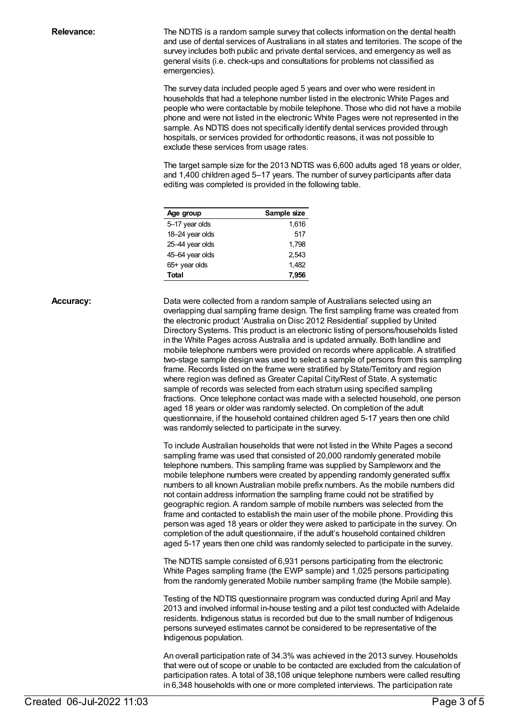**Relevance:** The NDTIS is a random sample survey that collects information on the dental health and use of dental services of Australians in all states and territories. The scope of the survey includes both public and private dental services, and emergency as well as general visits (i.e. check-ups and consultations for problems not classified as emergencies).

> The survey data included people aged 5 years and over who were resident in households that had a telephone number listed in the electronic White Pages and people who were contactable by mobile telephone. Those who did not have a mobile phone and were not listed in the electronic White Pages were not represented in the sample. As NDTIS does not specifically identify dental services provided through hospitals, or services provided for orthodontic reasons, it was not possible to exclude these services from usage rates.

> The target sample size for the 2013 NDTIS was 6,600 adults aged 18 years or older, and 1,400 children aged 5–17 years. The number of survey participants after data editing was completed is provided in the following table.

| Age group       | Sample size |  |  |
|-----------------|-------------|--|--|
| 5-17 year olds  | 1,616       |  |  |
| 18-24 year olds | 517         |  |  |
| 25-44 year olds | 1.798       |  |  |
| 45-64 year olds | 2.543       |  |  |
| $65+$ year olds | 1,482       |  |  |
| Total           | 7,956       |  |  |

**Accuracy:** Data were collected from a random sample of Australians selected using an overlapping dual sampling frame design. The first sampling frame was created from the electronic product 'Australia on Disc 2012 Residential' supplied by United Directory Systems. This product is an electronic listing of persons/households listed in the White Pages across Australia and is updated annually. Both landline and mobile telephone numbers were provided on records where applicable. A stratified two-stage sample design was used to select a sample of persons from this sampling frame. Records listed on the frame were stratified by State/Territory and region where region was defined as Greater Capital City/Rest of State. A systematic sample of records was selected from each stratum using specified sampling fractions. Once telephone contact was made with a selected household, one person aged 18 years or older was randomly selected. On completion of the adult questionnaire, if the household contained children aged 5-17 years then one child was randomly selected to participate in the survey.

> To include Australian households that were not listed in the White Pages a second sampling frame was used that consisted of 20,000 randomly generated mobile telephone numbers. This sampling frame was supplied by Sampleworx and the mobile telephone numbers were created by appending randomly generated suffix numbers to all known Australian mobile prefix numbers. As the mobile numbers did not contain address information the sampling frame could not be stratified by geographic region. A random sample of mobile numbers was selected from the frame and contacted to establish the main user of the mobile phone. Providing this person was aged 18 years or older they were asked to participate in the survey. On completion of the adult questionnaire, if the adult's household contained children aged 5-17 years then one child was randomly selected to participate in the survey.

The NDTIS sample consisted of 6,931 persons participating from the electronic White Pages sampling frame (the EWP sample) and 1,025 persons participating from the randomly generated Mobile number sampling frame (the Mobile sample).

Testing of the NDTIS questionnaire program was conducted during April and May 2013 and involved informal in-house testing and a pilot test conducted with Adelaide residents. Indigenous status is recorded but due to the small number of Indigenous persons surveyed estimates cannot be considered to be representative of the Indigenous population.

An overall participation rate of 34.3% was achieved in the 2013 survey. Households that were out of scope or unable to be contacted are excluded from the calculation of participation rates. A total of 38,108 unique telephone numbers were called resulting in 6,348 households with one or more completed interviews. The participation rate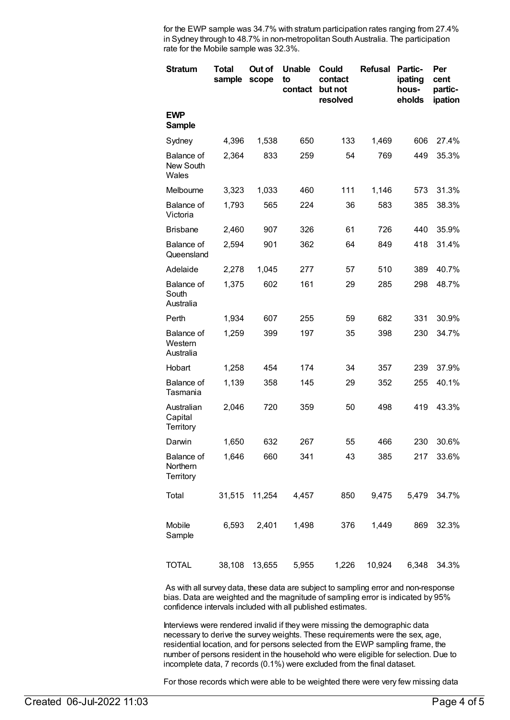for the EWP sample was 34.7% with stratum participation rates ranging from 27.4% in Sydney through to 48.7% in non-metropolitan South Australia. The participation rate for the Mobile sample was 32.3%.

| <b>Stratum</b>                      | <b>Total</b><br>sample | Out of<br>scope | <b>Unable</b><br>to<br>contact | Could<br>contact<br>but not<br>resolved | <b>Refusal</b> | Partic-<br>ipating<br>hous-<br>eholds | Per<br>cent<br>partic-<br>ipation |
|-------------------------------------|------------------------|-----------------|--------------------------------|-----------------------------------------|----------------|---------------------------------------|-----------------------------------|
| <b>EWP</b><br>Sample                |                        |                 |                                |                                         |                |                                       |                                   |
| Sydney                              | 4,396                  | 1,538           | 650                            | 133                                     | 1,469          | 606                                   | 27.4%                             |
| Balance of<br>New South<br>Wales    | 2,364                  | 833             | 259                            | 54                                      | 769            | 449                                   | 35.3%                             |
| Melbourne                           | 3,323                  | 1,033           | 460                            | 111                                     | 1,146          | 573                                   | 31.3%                             |
| Balance of<br>Victoria              | 1,793                  | 565             | 224                            | 36                                      | 583            | 385                                   | 38.3%                             |
| <b>Brisbane</b>                     | 2,460                  | 907             | 326                            | 61                                      | 726            | 440                                   | 35.9%                             |
| Balance of<br>Queensland            | 2,594                  | 901             | 362                            | 64                                      | 849            | 418                                   | 31.4%                             |
| Adelaide                            | 2,278                  | 1,045           | 277                            | 57                                      | 510            | 389                                   | 40.7%                             |
| Balance of<br>South<br>Australia    | 1,375                  | 602             | 161                            | 29                                      | 285            | 298                                   | 48.7%                             |
| Perth                               | 1,934                  | 607             | 255                            | 59                                      | 682            | 331                                   | 30.9%                             |
| Balance of<br>Western<br>Australia  | 1,259                  | 399             | 197                            | 35                                      | 398            | 230                                   | 34.7%                             |
| Hobart                              | 1,258                  | 454             | 174                            | 34                                      | 357            | 239                                   | 37.9%                             |
| Balance of<br>Tasmania              | 1,139                  | 358             | 145                            | 29                                      | 352            | 255                                   | 40.1%                             |
| Australian<br>Capital<br>Territory  | 2,046                  | 720             | 359                            | 50                                      | 498            | 419                                   | 43.3%                             |
| Darwin                              | 1,650                  | 632             | 267                            | 55                                      | 466            | 230                                   | 30.6%                             |
| Balance of<br>Northern<br>Territory | 1,646                  | 660             | 341                            | 43                                      | 385            | 217                                   | 33.6%                             |
| Total                               | 31,515                 | 11,254          | 4,457                          | 850                                     | 9,475          | 5,479                                 | 34.7%                             |
| Mobile<br>Sample                    | 6,593                  | 2,401           | 1,498                          | 376                                     | 1,449          | 869                                   | 32.3%                             |
| <b>TOTAL</b>                        | 38,108                 | 13,655          | 5,955                          | 1,226                                   | 10,924         | 6,348                                 | 34.3%                             |

As with all survey data, these data are subject to sampling error and non-response bias. Data are weighted and the magnitude of sampling error is indicated by 95% confidence intervals included with all published estimates.

Interviews were rendered invalid if they were missing the demographic data necessary to derive the survey weights. These requirements were the sex, age, residential location, and for persons selected from the EWP sampling frame, the number of persons resident in the household who were eligible for selection. Due to incomplete data, 7 records (0.1%) were excluded from the final dataset.

For those records which were able to be weighted there were very few missing data